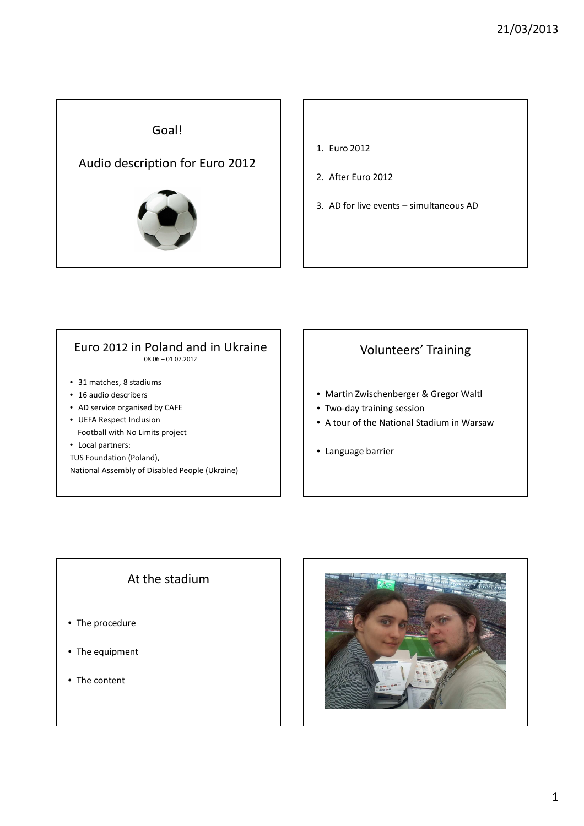

- 1. Euro 2012
- 2. After Euro 2012
- 3. AD for live events simultaneous AD

## Euro 2012 in Poland and in Ukraine

08.06 – 01.07.2012

- 31 matches, 8 stadiums
- 16 audio describers
- AD service organised by CAFE
- UEFA Respect Inclusion Football with No Limits project
- Local partners:
- TUS Foundation (Poland),

National Assembly of Disabled People (Ukraine)

### Volunteers' Training

- Martin Zwischenberger & Gregor Waltl
- Two-day training session
- A tour of the National Stadium in Warsaw
- Language barrier

### At the stadium

- The procedure
- The equipment
- The content

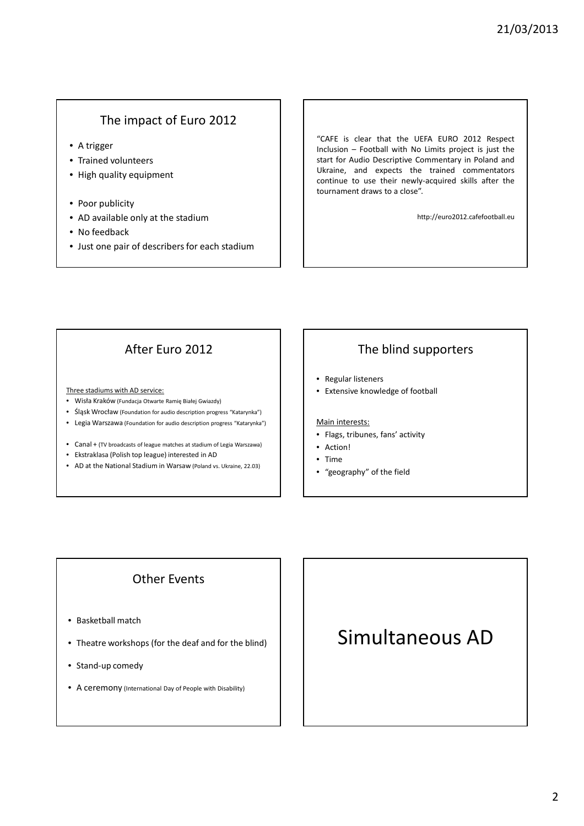### The impact of Euro 2012

- A trigger
- Trained volunteers
- High quality equipment
- Poor publicity
- AD available only at the stadium
- No feedback
- Just one pair of describers for each stadium

"CAFE is clear that the UEFA EURO 2012 Respect Inclusion – Football with No Limits project is just the start for Audio Descriptive Commentary in Poland and Ukraine, and expects the trained commentators continue to use their newly-acquired skills after the tournament draws to a close".

http://euro2012.cafefootball.eu

### After Euro 2012

Three stadiums with AD service:

- Wisła Kraków (Fundacja Otwarte Ramię Białej Gwiazdy)
- Śląsk Wrocław (Foundation for audio description progress "Katarynka")
- Legia Warszawa (Foundation for audio description progress "Katarynka")
- Canal + (TV broadcasts of league matches at stadium of Legia Warszawa)
- Ekstraklasa (Polish top league) interested in AD
- AD at the National Stadium in Warsaw (Poland vs. Ukraine, 22.03)

### The blind supporters

- Regular listeners
- Extensive knowledge of football

### Main interests:

- Flags, tribunes, fans' activity
- Action!
- Time
- "geography" of the field

### Other Events

- Basketball match
- Theatre workshops (for the deaf and for the blind)
- Stand-up comedy
- A ceremony (International Day of People with Disability)

# Simultaneous AD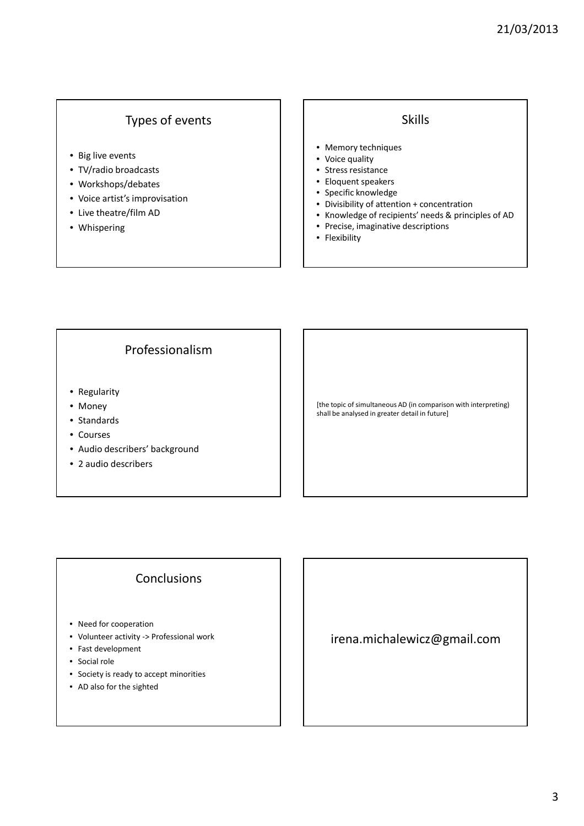### Types of events

- Big live events
- TV/radio broadcasts
- Workshops/debates
- Voice artist's improvisation
- Live theatre/film AD
- Whispering

### Skills

- Memory techniques
- Voice quality
- Stress resistance
- Eloquent speakers
- Specific knowledge
- Divisibility of attention + concentration
- Knowledge of recipients' needs & principles of AD
- Precise, imaginative descriptions
- Flexibility

### Professionalism

- Regularity
- Money
- Standards
- Courses
- Audio describers' background
- 2 audio describers

[the topic of simultaneous AD (in comparison with interpreting) shall be analysed in greater detail in future]

### **Conclusions**

- Need for cooperation
- Volunteer activity -> Professional work
- Fast development
- Social role
- Society is ready to accept minorities
- AD also for the sighted

irena.michalewicz@gmail.com